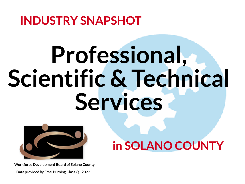# **INDUSTRY SNAPSHOT Professional, Scientific & Technical Services**



## **in SOLANO COUNTY**

Data provided by Emsi Burning Glass Q1 2022



**Workforce Development Board of Solano County**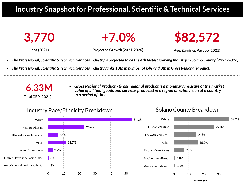### **Industry Snapshotfor Professional, Scientific & Technical Services**





- 
- The Professional, Scientific & Technical Services Industry ranks 10th in number of jobs and 8th in Gross Regional Product.



**Jobs (2021) Projected Growth (2021-2026) Avg. Earnings Per Job (2021)**

The Professional, Scientific & Technical Services Industry is projected to be the 4th fastest growing Industry in Solano County (2021-2026).



*Gross Regional Product - Grossregional product is a monetary measure of the market value of all final goods and services produced in a region orsubdivision of a country*

*in a period of time.*